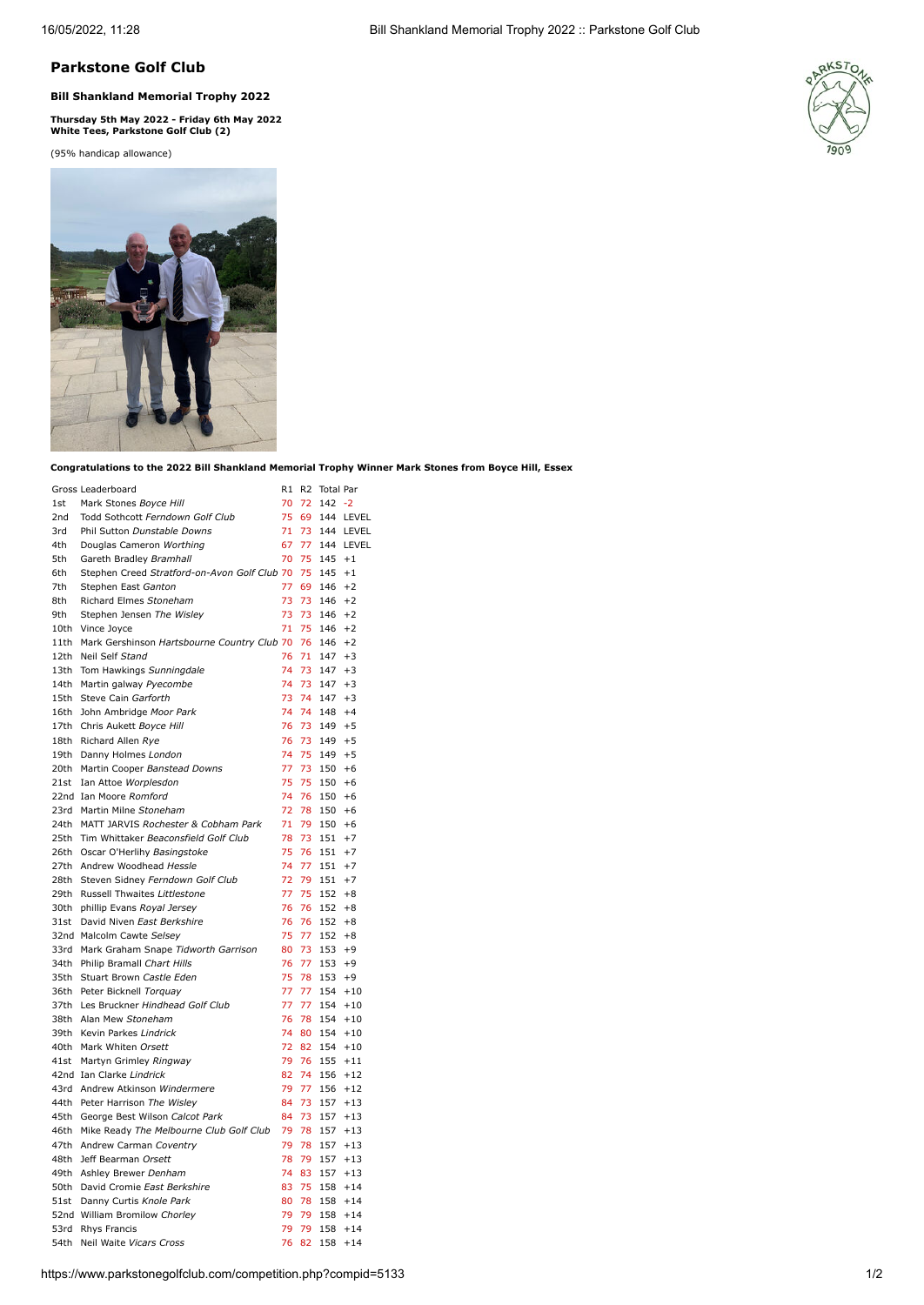## **Parkstone Golf Club**

## **Bill Shankland Memorial Trophy 2022**

**Thursday 5th May 2022 - Friday 6th May 2022 White Tees, Parkstone Golf Club (2)**

(95% handicap allowance)





**Congratulations to the 2022 Bill Shankland Memorial Trophy Winner Mark Stones from Boyce Hill, Essex**

|      | Gross Leaderboard                                                  | R1 | R <sub>2</sub> | <b>Total Par</b> |              |
|------|--------------------------------------------------------------------|----|----------------|------------------|--------------|
| 1st  | Mark Stones Boyce Hill                                             | 70 | 72             | $142 - 2$        |              |
| 2nd  | Todd Sothcott Ferndown Golf Club                                   | 75 | 69             | 144              | LEVEL        |
| 3rd  | Phil Sutton Dunstable Downs                                        | 71 | 73             | 144              | LEVEL        |
| 4th  | Douglas Cameron Worthing                                           | 67 | 77             | 144              | LEVEL        |
| 5th  | Gareth Bradley Bramhall                                            | 70 | 75             | 145              | $+1$         |
| 6th  | Stephen Creed Stratford-on-Avon Golf Club 70                       |    | 75             | 145              | $+1$         |
| 7th  | Stephen East Ganton                                                | 77 | 69             | 146              | $+2$         |
| 8th  | Richard Elmes Stoneham                                             | 73 | 73             | 146              | $+2$         |
| 9th  | Stephen Jensen The Wisley                                          | 73 | 73             | 146              | $+2$         |
|      | 10th Vince Joyce                                                   | 71 | 75             | 146              | $+2$         |
|      | 11th Mark Gershinson Hartsbourne Country Club 70                   |    | 76             | 146              | $+2$         |
|      | 12th Neil Self Stand                                               | 76 | 71             | 147              | $+3$         |
|      | 13th Tom Hawkings Sunningdale                                      | 74 | 73             | 147              | $+3$         |
|      | 14th Martin galway Pyecombe                                        | 74 | 73             | 147              | $+3$         |
|      | 15th Steve Cain Garforth                                           | 73 | 74             | 147              | $+3$         |
|      | 16th John Ambridge Moor Park                                       | 74 | 74             | 148              | $+4$         |
|      | 17th Chris Aukett Boyce Hill                                       | 76 | 73             | 149              | $+5$         |
|      | 18th Richard Allen Rye                                             | 76 | 73             | 149              | $+5$         |
|      | 19th Danny Holmes London                                           | 74 | 75             | 149              | $+5$         |
|      | 20th Martin Cooper Banstead Downs                                  | 77 | 73             | 150              | $+6$         |
|      | 21st Ian Attoe Worplesdon                                          | 75 | 75             | 150              | $+6$         |
|      | 22nd Ian Moore Romford                                             | 74 | 76             | 150              | $+6$         |
|      | 23rd Martin Milne Stoneham                                         | 72 | 78             | 150              | $+6$         |
|      | 24th MATT JARVIS Rochester & Cobham Park                           | 71 | 79             | 150              | $+6$         |
|      | 25th Tim Whittaker Beaconsfield Golf Club                          | 78 | 73             | 151              | $+7$         |
|      | 26th Oscar O'Herlihy Basingstoke                                   | 75 | 76             | 151              | $+7$         |
|      | 27th Andrew Woodhead Hessle                                        | 74 | 77             | 151              | $+7$         |
|      | 28th Steven Sidney Ferndown Golf Club                              | 72 | 79             | 151              | $+7$         |
|      | 29th Russell Thwaites Littlestone                                  | 77 | 75             | 152              | $+8$         |
|      |                                                                    | 76 | 76             | 152              | $+8$         |
|      | 30th phillip Evans Royal Jersey<br>31st David Niven East Berkshire | 76 | 76             | 152              |              |
|      |                                                                    | 75 | 77             | 152              | $+8$<br>$+8$ |
|      | 32nd Malcolm Cawte Selsey                                          | 80 | 73             |                  | $+9$         |
|      | 33rd Mark Graham Snape Tidworth Garrison                           | 76 | 77             | 153<br>153       |              |
|      | 34th Philip Bramall Chart Hills                                    |    |                |                  | $+9$         |
|      | 35th Stuart Brown Castle Eden                                      | 75 | 78             | 153              | $+9$         |
|      | 36th Peter Bicknell Torquay                                        | 77 | 77             | 154              | $+10$        |
|      | 37th Les Bruckner Hindhead Golf Club                               | 77 | 77             | 154              | $+10$        |
|      | 38th Alan Mew Stoneham                                             | 76 | 78             | 154              | $+10$        |
|      | 39th Kevin Parkes Lindrick                                         | 74 | 80             | 154              | $+10$        |
|      | 40th Mark Whiten Orsett                                            | 72 | 82             | 154              | $+10$        |
| 41st | Martyn Grimley Ringway                                             | 79 | 76             | 155              | $+11$        |
|      | 42nd Ian Clarke Lindrick                                           | 82 | 74             | 156              | $+12$        |
|      | 43rd Andrew Atkinson Windermere                                    | 79 | 77             | 156              | $+12$        |
|      | 44th Peter Harrison The Wisley                                     | 84 | 73             | 157              | $+13$        |
|      | 45th George Best Wilson Calcot Park                                | 84 | 73             | 157              | $+13$        |
|      | 46th Mike Ready The Melbourne Club Golf Club                       | 79 | 78             | 157              | $+13$        |
|      | 47th Andrew Carman Coventry                                        | 79 | 78             | 157              | $+13$        |
|      | 48th Jeff Bearman Orsett                                           | 78 | 79             | 157              | $+13$        |
|      | 49th Ashley Brewer Denham                                          | 74 | 83             | 157              | $+13$        |
|      | 50th David Cromie East Berkshire                                   | 83 | 75             | 158              | $+14$        |
|      | 51st Danny Curtis Knole Park                                       | 80 | 78             |                  | $158 + 14$   |
|      | 52nd William Bromilow Chorley                                      | 79 | 79             | 158              | $+14$        |
|      | 53rd Rhys Francis                                                  | 79 | 79             | 158              | $+14$        |
| 54th | Neil Waite Vicars Cross                                            | 76 | 82             | 158              | $+14$        |